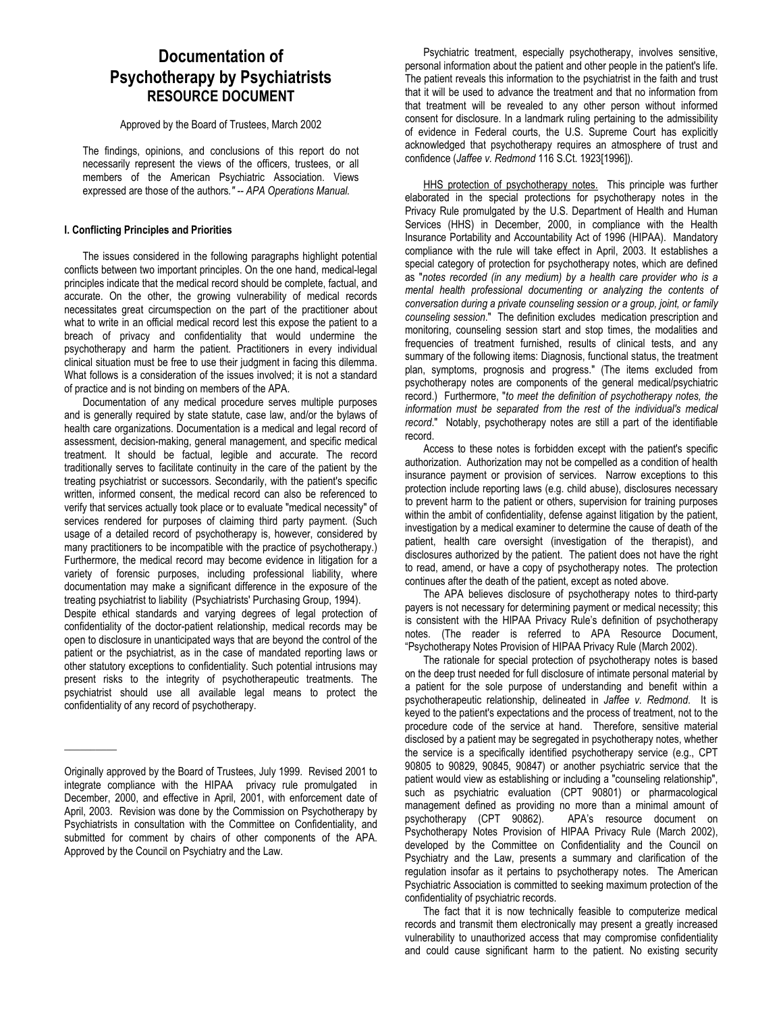## **Documentation of Psychotherapy by Psychiatrists RESOURCE DOCUMENT**

Approved by the Board of Trustees, March 2002

The findings, opinions, and conclusions of this report do not necessarily represent the views of the officers, trustees, or all members of the American Psychiatric Association. Views expressed are those of the authors*." -- APA Operations Manual.*

## **I. Conflicting Principles and Priorities**

The issues considered in the following paragraphs highlight potential conflicts between two important principles. On the one hand, medical-legal principles indicate that the medical record should be complete, factual, and accurate. On the other, the growing vulnerability of medical records necessitates great circumspection on the part of the practitioner about what to write in an official medical record lest this expose the patient to a breach of privacy and confidentiality that would undermine the psychotherapy and harm the patient. Practitioners in every individual clinical situation must be free to use their judgment in facing this dilemma. What follows is a consideration of the issues involved; it is not a standard of practice and is not binding on members of the APA.

Documentation of any medical procedure serves multiple purposes and is generally required by state statute, case law, and/or the bylaws of health care organizations. Documentation is a medical and legal record of assessment, decision-making, general management, and specific medical treatment. It should be factual, legible and accurate. The record traditionally serves to facilitate continuity in the care of the patient by the treating psychiatrist or successors. Secondarily, with the patient's specific written, informed consent, the medical record can also be referenced to verify that services actually took place or to evaluate "medical necessity" of services rendered for purposes of claiming third party payment. (Such usage of a detailed record of psychotherapy is, however, considered by many practitioners to be incompatible with the practice of psychotherapy.) Furthermore, the medical record may become evidence in litigation for a variety of forensic purposes, including professional liability, where documentation may make a significant difference in the exposure of the treating psychiatrist to liability (Psychiatrists' Purchasing Group, 1994).

Despite ethical standards and varying degrees of legal protection of confidentiality of the doctor-patient relationship, medical records may be open to disclosure in unanticipated ways that are beyond the control of the patient or the psychiatrist, as in the case of mandated reporting laws or other statutory exceptions to confidentiality. Such potential intrusions may present risks to the integrity of psychotherapeutic treatments. The psychiatrist should use all available legal means to protect the confidentiality of any record of psychotherapy.

 $\overline{\phantom{a}}$   $\overline{\phantom{a}}$   $\overline{\phantom{a}}$   $\overline{\phantom{a}}$   $\overline{\phantom{a}}$   $\overline{\phantom{a}}$   $\overline{\phantom{a}}$   $\overline{\phantom{a}}$   $\overline{\phantom{a}}$   $\overline{\phantom{a}}$   $\overline{\phantom{a}}$   $\overline{\phantom{a}}$   $\overline{\phantom{a}}$   $\overline{\phantom{a}}$   $\overline{\phantom{a}}$   $\overline{\phantom{a}}$   $\overline{\phantom{a}}$   $\overline{\phantom{a}}$   $\overline{\$ 

Psychiatric treatment, especially psychotherapy, involves sensitive, personal information about the patient and other people in the patient's life. The patient reveals this information to the psychiatrist in the faith and trust that it will be used to advance the treatment and that no information from that treatment will be revealed to any other person without informed consent for disclosure. In a landmark ruling pertaining to the admissibility of evidence in Federal courts, the U.S. Supreme Court has explicitly acknowledged that psychotherapy requires an atmosphere of trust and confidence (*Jaffee v. Redmond* 116 S.Ct. 1923[1996]).

HHS protection of psychotherapy notes. This principle was further elaborated in the special protections for psychotherapy notes in the Privacy Rule promulgated by the U.S. Department of Health and Human Services (HHS) in December, 2000, in compliance with the Health Insurance Portability and Accountability Act of 1996 (HIPAA). Mandatory compliance with the rule will take effect in April, 2003. It establishes a special category of protection for psychotherapy notes, which are defined as "*notes recorded (in any medium) by a health care provider who is a mental health professional documenting or analyzing the contents of conversation during a private counseling session or a group, joint, or family counseling session*." The definition excludes medication prescription and monitoring, counseling session start and stop times, the modalities and frequencies of treatment furnished, results of clinical tests, and any summary of the following items: Diagnosis, functional status, the treatment plan, symptoms, prognosis and progress." (The items excluded from psychotherapy notes are components of the general medical/psychiatric record.) Furthermore, "*to meet the definition of psychotherapy notes, the information must be separated from the rest of the individual's medical record*." Notably, psychotherapy notes are still a part of the identifiable record.

Access to these notes is forbidden except with the patient's specific authorization. Authorization may not be compelled as a condition of health insurance payment or provision of services. Narrow exceptions to this protection include reporting laws (e.g. child abuse), disclosures necessary to prevent harm to the patient or others, supervision for training purposes within the ambit of confidentiality, defense against litigation by the patient, investigation by a medical examiner to determine the cause of death of the patient, health care oversight (investigation of the therapist), and disclosures authorized by the patient. The patient does not have the right to read, amend, or have a copy of psychotherapy notes. The protection continues after the death of the patient, except as noted above.

The APA believes disclosure of psychotherapy notes to third-party payers is not necessary for determining payment or medical necessity; this is consistent with the HIPAA Privacy Rule's definition of psychotherapy notes. (The reader is referred to APA Resource Document, "Psychotherapy Notes Provision of HIPAA Privacy Rule (March 2002).

The rationale for special protection of psychotherapy notes is based on the deep trust needed for full disclosure of intimate personal material by a patient for the sole purpose of understanding and benefit within a psychotherapeutic relationship, delineated in *Jaffee v. Redmond*. It is keyed to the patient's expectations and the process of treatment, not to the procedure code of the service at hand. Therefore, sensitive material disclosed by a patient may be segregated in psychotherapy notes, whether the service is a specifically identified psychotherapy service (e.g., CPT 90805 to 90829, 90845, 90847) or another psychiatric service that the patient would view as establishing or including a "counseling relationship", such as psychiatric evaluation (CPT 90801) or pharmacological management defined as providing no more than a minimal amount of psychotherapy (CPT 90862). APA's resource document on psychotherapy (CPT 90862). Psychotherapy Notes Provision of HIPAA Privacy Rule (March 2002), developed by the Committee on Confidentiality and the Council on Psychiatry and the Law, presents a summary and clarification of the regulation insofar as it pertains to psychotherapy notes. The American Psychiatric Association is committed to seeking maximum protection of the confidentiality of psychiatric records.

The fact that it is now technically feasible to computerize medical records and transmit them electronically may present a greatly increased vulnerability to unauthorized access that may compromise confidentiality and could cause significant harm to the patient. No existing security

Originally approved by the Board of Trustees, July 1999. Revised 2001 to integrate compliance with the HIPAA privacy rule promulgated in December, 2000, and effective in April, 2001, with enforcement date of April, 2003. Revision was done by the Commission on Psychotherapy by Psychiatrists in consultation with the Committee on Confidentiality, and submitted for comment by chairs of other components of the APA. Approved by the Council on Psychiatry and the Law.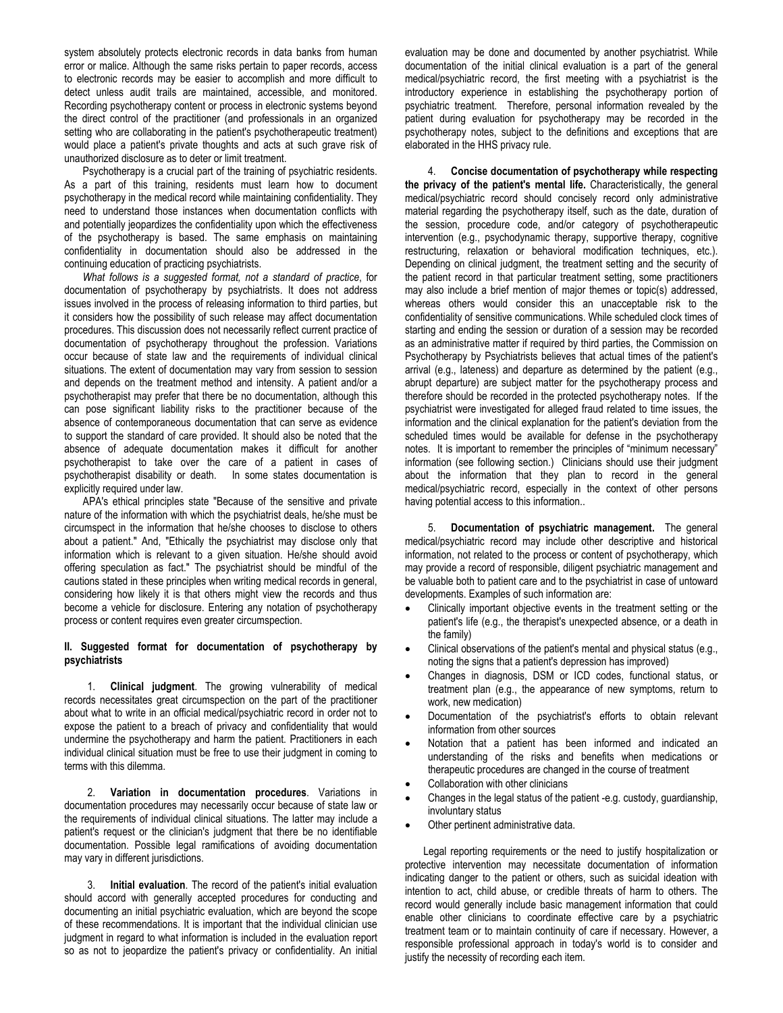system absolutely protects electronic records in data banks from human error or malice. Although the same risks pertain to paper records, access to electronic records may be easier to accomplish and more difficult to detect unless audit trails are maintained, accessible, and monitored. Recording psychotherapy content or process in electronic systems beyond the direct control of the practitioner (and professionals in an organized setting who are collaborating in the patient's psychotherapeutic treatment) would place a patient's private thoughts and acts at such grave risk of unauthorized disclosure as to deter or limit treatment.

Psychotherapy is a crucial part of the training of psychiatric residents. As a part of this training, residents must learn how to document psychotherapy in the medical record while maintaining confidentiality. They need to understand those instances when documentation conflicts with and potentially jeopardizes the confidentiality upon which the effectiveness of the psychotherapy is based. The same emphasis on maintaining confidentiality in documentation should also be addressed in the continuing education of practicing psychiatrists.

*What follows is a suggested format, not a standard of practice*, for documentation of psychotherapy by psychiatrists. It does not address issues involved in the process of releasing information to third parties, but it considers how the possibility of such release may affect documentation procedures. This discussion does not necessarily reflect current practice of documentation of psychotherapy throughout the profession. Variations occur because of state law and the requirements of individual clinical situations. The extent of documentation may vary from session to session and depends on the treatment method and intensity. A patient and/or a psychotherapist may prefer that there be no documentation, although this can pose significant liability risks to the practitioner because of the absence of contemporaneous documentation that can serve as evidence to support the standard of care provided. It should also be noted that the absence of adequate documentation makes it difficult for another psychotherapist to take over the care of a patient in cases of psychotherapist disability or death. In some states documentation is explicitly required under law.

APA's ethical principles state "Because of the sensitive and private nature of the information with which the psychiatrist deals, he/she must be circumspect in the information that he/she chooses to disclose to others about a patient." And, "Ethically the psychiatrist may disclose only that information which is relevant to a given situation. He/she should avoid offering speculation as fact." The psychiatrist should be mindful of the cautions stated in these principles when writing medical records in general, considering how likely it is that others might view the records and thus become a vehicle for disclosure. Entering any notation of psychotherapy process or content requires even greater circumspection.

## **II. Suggested format for documentation of psychotherapy by psychiatrists**

1. **Clinical judgment**. The growing vulnerability of medical records necessitates great circumspection on the part of the practitioner about what to write in an official medical/psychiatric record in order not to expose the patient to a breach of privacy and confidentiality that would undermine the psychotherapy and harm the patient. Practitioners in each individual clinical situation must be free to use their judgment in coming to terms with this dilemma.

2. **Variation in documentation procedures**. Variations in documentation procedures may necessarily occur because of state law or the requirements of individual clinical situations. The latter may include a patient's request or the clinician's judgment that there be no identifiable documentation. Possible legal ramifications of avoiding documentation may vary in different jurisdictions.

3. **Initial evaluation**. The record of the patient's initial evaluation should accord with generally accepted procedures for conducting and documenting an initial psychiatric evaluation, which are beyond the scope of these recommendations. It is important that the individual clinician use judgment in regard to what information is included in the evaluation report so as not to jeopardize the patient's privacy or confidentiality. An initial

evaluation may be done and documented by another psychiatrist. While documentation of the initial clinical evaluation is a part of the general medical/psychiatric record, the first meeting with a psychiatrist is the introductory experience in establishing the psychotherapy portion of psychiatric treatment. Therefore, personal information revealed by the patient during evaluation for psychotherapy may be recorded in the psychotherapy notes, subject to the definitions and exceptions that are elaborated in the HHS privacy rule.

4. **Concise documentation of psychotherapy while respecting the privacy of the patient's mental life.** Characteristically, the general medical/psychiatric record should concisely record only administrative material regarding the psychotherapy itself, such as the date, duration of the session, procedure code, and/or category of psychotherapeutic intervention (e.g., psychodynamic therapy, supportive therapy, cognitive restructuring, relaxation or behavioral modification techniques, etc.). Depending on clinical judgment, the treatment setting and the security of the patient record in that particular treatment setting, some practitioners may also include a brief mention of major themes or topic(s) addressed, whereas others would consider this an unacceptable risk to the confidentiality of sensitive communications. While scheduled clock times of starting and ending the session or duration of a session may be recorded as an administrative matter if required by third parties, the Commission on Psychotherapy by Psychiatrists believes that actual times of the patient's arrival (e.g., lateness) and departure as determined by the patient (e.g., abrupt departure) are subject matter for the psychotherapy process and therefore should be recorded in the protected psychotherapy notes. If the psychiatrist were investigated for alleged fraud related to time issues, the information and the clinical explanation for the patient's deviation from the scheduled times would be available for defense in the psychotherapy notes. It is important to remember the principles of "minimum necessary" information (see following section.) Clinicians should use their judgment about the information that they plan to record in the general medical/psychiatric record, especially in the context of other persons having potential access to this information..

5. **Documentation of psychiatric management.** The general medical/psychiatric record may include other descriptive and historical information, not related to the process or content of psychotherapy, which may provide a record of responsible, diligent psychiatric management and be valuable both to patient care and to the psychiatrist in case of untoward developments. Examples of such information are:

- Clinically important objective events in the treatment setting or the patient's life (e.g., the therapist's unexpected absence, or a death in the family)
- Clinical observations of the patient's mental and physical status (e.g., noting the signs that a patient's depression has improved)
- Changes in diagnosis, DSM or ICD codes, functional status, or treatment plan (e.g., the appearance of new symptoms, return to work, new medication)
- Documentation of the psychiatrist's efforts to obtain relevant information from other sources
- Notation that a patient has been informed and indicated an understanding of the risks and benefits when medications or therapeutic procedures are changed in the course of treatment
- Collaboration with other clinicians
- Changes in the legal status of the patient -e.g. custody, guardianship, involuntary status
- Other pertinent administrative data.

Legal reporting requirements or the need to justify hospitalization or protective intervention may necessitate documentation of information indicating danger to the patient or others, such as suicidal ideation with intention to act, child abuse, or credible threats of harm to others. The record would generally include basic management information that could enable other clinicians to coordinate effective care by a psychiatric treatment team or to maintain continuity of care if necessary. However, a responsible professional approach in today's world is to consider and justify the necessity of recording each item.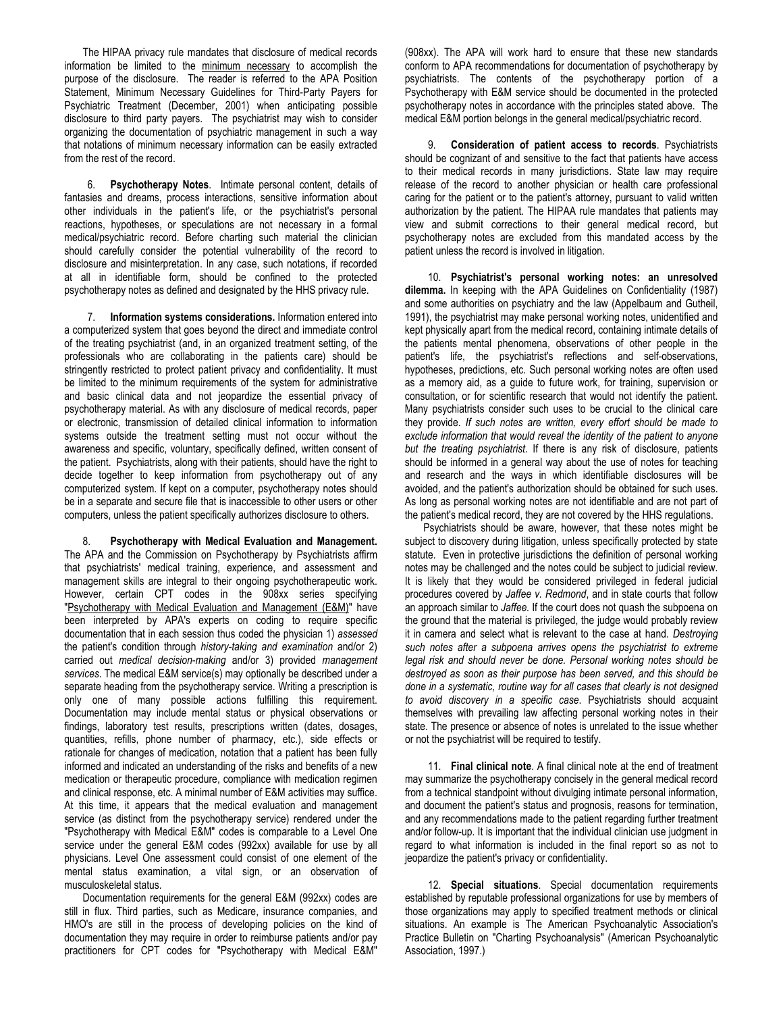The HIPAA privacy rule mandates that disclosure of medical records information be limited to the minimum necessary to accomplish the purpose of the disclosure. The reader is referred to the APA Position Statement, Minimum Necessary Guidelines for Third-Party Payers for Psychiatric Treatment (December, 2001) when anticipating possible disclosure to third party payers. The psychiatrist may wish to consider organizing the documentation of psychiatric management in such a way that notations of minimum necessary information can be easily extracted from the rest of the record.

6. **Psychotherapy Notes**. Intimate personal content, details of fantasies and dreams, process interactions, sensitive information about other individuals in the patient's life, or the psychiatrist's personal reactions, hypotheses, or speculations are not necessary in a formal medical/psychiatric record. Before charting such material the clinician should carefully consider the potential vulnerability of the record to disclosure and misinterpretation. In any case, such notations, if recorded at all in identifiable form, should be confined to the protected psychotherapy notes as defined and designated by the HHS privacy rule.

7. **Information systems considerations.** Information entered into a computerized system that goes beyond the direct and immediate control of the treating psychiatrist (and, in an organized treatment setting, of the professionals who are collaborating in the patients care) should be stringently restricted to protect patient privacy and confidentiality. It must be limited to the minimum requirements of the system for administrative and basic clinical data and not jeopardize the essential privacy of psychotherapy material. As with any disclosure of medical records, paper or electronic, transmission of detailed clinical information to information systems outside the treatment setting must not occur without the awareness and specific, voluntary, specifically defined, written consent of the patient. Psychiatrists, along with their patients, should have the right to decide together to keep information from psychotherapy out of any computerized system. If kept on a computer, psychotherapy notes should be in a separate and secure file that is inaccessible to other users or other computers, unless the patient specifically authorizes disclosure to others.

8. **Psychotherapy with Medical Evaluation and Management.** The APA and the Commission on Psychotherapy by Psychiatrists affirm that psychiatrists' medical training, experience, and assessment and management skills are integral to their ongoing psychotherapeutic work. However, certain CPT codes in the 908xx series specifying "Psychotherapy with Medical Evaluation and Management (E&M)" have been interpreted by APA's experts on coding to require specific documentation that in each session thus coded the physician 1) *assessed* the patient's condition through *history-taking and examination* and/or 2) carried out *medical decision-making* and/or 3) provided *management services*. The medical E&M service(s) may optionally be described under a separate heading from the psychotherapy service. Writing a prescription is only one of many possible actions fulfilling this requirement. Documentation may include mental status or physical observations or findings, laboratory test results, prescriptions written (dates, dosages, quantities, refills, phone number of pharmacy, etc.), side effects or rationale for changes of medication, notation that a patient has been fully informed and indicated an understanding of the risks and benefits of a new medication or therapeutic procedure, compliance with medication regimen and clinical response, etc. A minimal number of E&M activities may suffice. At this time, it appears that the medical evaluation and management service (as distinct from the psychotherapy service) rendered under the "Psychotherapy with Medical E&M" codes is comparable to a Level One service under the general E&M codes (992xx) available for use by all physicians. Level One assessment could consist of one element of the mental status examination, a vital sign, or an observation of musculoskeletal status.

Documentation requirements for the general E&M (992xx) codes are still in flux. Third parties, such as Medicare, insurance companies, and HMO's are still in the process of developing policies on the kind of documentation they may require in order to reimburse patients and/or pay practitioners for CPT codes for "Psychotherapy with Medical E&M"

(908xx). The APA will work hard to ensure that these new standards conform to APA recommendations for documentation of psychotherapy by psychiatrists. The contents of the psychotherapy portion of a Psychotherapy with E&M service should be documented in the protected psychotherapy notes in accordance with the principles stated above. The medical E&M portion belongs in the general medical/psychiatric record.

9. **Consideration of patient access to records**. Psychiatrists should be cognizant of and sensitive to the fact that patients have access to their medical records in many jurisdictions. State law may require release of the record to another physician or health care professional caring for the patient or to the patient's attorney, pursuant to valid written authorization by the patient. The HIPAA rule mandates that patients may view and submit corrections to their general medical record, but psychotherapy notes are excluded from this mandated access by the patient unless the record is involved in litigation.

10. **Psychiatrist's personal working notes: an unresolved dilemma.** In keeping with the APA Guidelines on Confidentiality (1987) and some authorities on psychiatry and the law (Appelbaum and Gutheil, 1991), the psychiatrist may make personal working notes, unidentified and kept physically apart from the medical record, containing intimate details of the patients mental phenomena, observations of other people in the patient's life, the psychiatrist's reflections and self-observations, hypotheses, predictions, etc. Such personal working notes are often used as a memory aid, as a guide to future work, for training, supervision or consultation, or for scientific research that would not identify the patient. Many psychiatrists consider such uses to be crucial to the clinical care they provide. *If such notes are written, every effort should be made to exclude information that would reveal the identity of the patient to anyone but the treating psychiatrist.* If there is any risk of disclosure, patients should be informed in a general way about the use of notes for teaching and research and the ways in which identifiable disclosures will be avoided, and the patient's authorization should be obtained for such uses. As long as personal working notes are not identifiable and are not part of the patient's medical record, they are not covered by the HHS regulations.

Psychiatrists should be aware, however, that these notes might be subject to discovery during litigation, unless specifically protected by state statute. Even in protective jurisdictions the definition of personal working notes may be challenged and the notes could be subject to judicial review. It is likely that they would be considered privileged in federal judicial procedures covered by *Jaffee v. Redmond*, and in state courts that follow an approach similar to *Jaffee*. If the court does not quash the subpoena on the ground that the material is privileged, the judge would probably review it in camera and select what is relevant to the case at hand. *Destroying such notes after a subpoena arrives opens the psychiatrist to extreme legal risk and should never be done. Personal working notes should be destroyed as soon as their purpose has been served, and this should be done in a systematic, routine way for all cases that clearly is not designed to avoid discovery in a specific case*. Psychiatrists should acquaint themselves with prevailing law affecting personal working notes in their state. The presence or absence of notes is unrelated to the issue whether or not the psychiatrist will be required to testify.

11. **Final clinical note**. A final clinical note at the end of treatment may summarize the psychotherapy concisely in the general medical record from a technical standpoint without divulging intimate personal information, and document the patient's status and prognosis, reasons for termination, and any recommendations made to the patient regarding further treatment and/or follow-up. It is important that the individual clinician use judgment in regard to what information is included in the final report so as not to jeopardize the patient's privacy or confidentiality.

12. **Special situations**. Special documentation requirements established by reputable professional organizations for use by members of those organizations may apply to specified treatment methods or clinical situations. An example is The American Psychoanalytic Association's Practice Bulletin on "Charting Psychoanalysis" (American Psychoanalytic Association, 1997.)